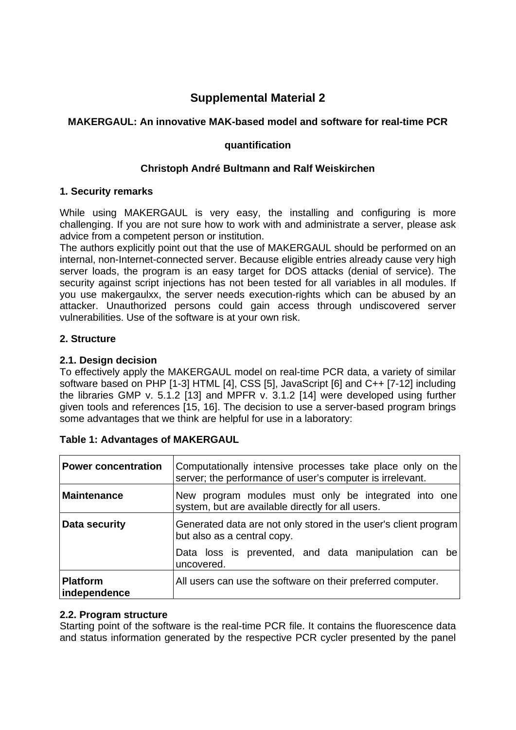# **Supplemental Material 2**

# **MAKERGAUL: An innovative MAK-based model and software for real-time PCR**

#### **quantification**

### **Christoph André Bultmann and Ralf Weiskirchen**

#### **1. Security remarks**

While using MAKERGAUL is very easy, the installing and configuring is more challenging. If you are not sure how to work with and administrate a server, please ask advice from a competent person or institution.

The authors explicitly point out that the use of MAKERGAUL should be performed on an internal, non-Internet-connected server. Because eligible entries already cause very high server loads, the program is an easy target for DOS attacks (denial of service). The security against script injections has not been tested for all variables in all modules. If you use makergaulxx, the server needs execution-rights which can be abused by an attacker. Unauthorized persons could gain access through undiscovered server vulnerabilities. Use of the software is at your own risk.

#### **2. Structure**

#### **2.1. Design decision**

To effectively apply the MAKERGAUL model on real-time PCR data, a variety of similar software based on PHP [1-3] HTML [4], CSS [5], JavaScript [6] and C++ [7-12] including the libraries GMP v. 5.1.2 [13] and MPFR v. 3.1.2 [14] were developed using further given tools and references [15, 16]. The decision to use a server-based program brings some advantages that we think are helpful for use in a laboratory:

| <b>Power concentration</b>      | Computationally intensive processes take place only on the<br>server; the performance of user's computer is irrelevant. |  |
|---------------------------------|-------------------------------------------------------------------------------------------------------------------------|--|
| <b>Maintenance</b>              | program modules must only be integrated into one<br>New<br>system, but are available directly for all users.            |  |
| Data security                   | Generated data are not only stored in the user's client program<br>but also as a central copy.                          |  |
|                                 | Data loss is prevented, and data manipulation can be<br>uncovered.                                                      |  |
| <b>Platform</b><br>independence | All users can use the software on their preferred computer.                                                             |  |

#### **Table 1: Advantages of MAKERGAUL**

#### **2.2. Program structure**

Starting point of the software is the real-time PCR file. It contains the fluorescence data and status information generated by the respective PCR cycler presented by the panel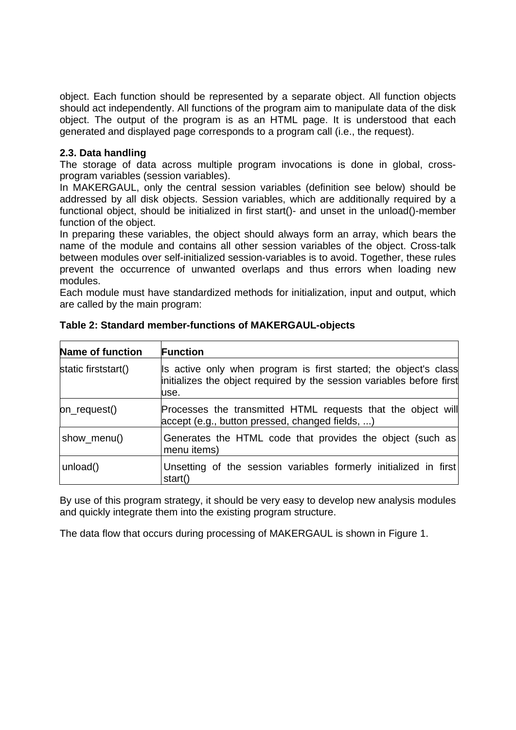object. Each function should be represented by a separate object. All function objects should act independently. All functions of the program aim to manipulate data of the disk object. The output of the program is as an HTML page. It is understood that each generated and displayed page corresponds to a program call (i.e., the request).

## **2.3. Data handling**

The storage of data across multiple program invocations is done in global, crossprogram variables (session variables).

In MAKERGAUL, only the central session variables (definition see below) should be addressed by all disk objects. Session variables, which are additionally required by a functional object, should be initialized in first start()- and unset in the unload()-member function of the object.

In preparing these variables, the object should always form an array, which bears the name of the module and contains all other session variables of the object. Cross-talk between modules over self-initialized session-variables is to avoid. Together, these rules prevent the occurrence of unwanted overlaps and thus errors when loading new modules.

Each module must have standardized methods for initialization, input and output, which are called by the main program:

| <b>Name of function</b> | <b>Function</b>                                                                                                                                   |
|-------------------------|---------------------------------------------------------------------------------------------------------------------------------------------------|
| static firststart()     | Is active only when program is first started; the object's class<br>initializes the object required by the session variables before first<br>use. |
| on_request()            | Processes the transmitted HTML requests that the object will<br>accept (e.g., button pressed, changed fields, )                                   |
| show_menu()             | Generates the HTML code that provides the object (such as)<br>menu items)                                                                         |
| unload()                | Unsetting of the session variables formerly initialized in first<br>start()                                                                       |

**Table 2: Standard member-functions of MAKERGAUL-objects** 

By use of this program strategy, it should be very easy to develop new analysis modules and quickly integrate them into the existing program structure.

The data flow that occurs during processing of MAKERGAUL is shown in Figure 1.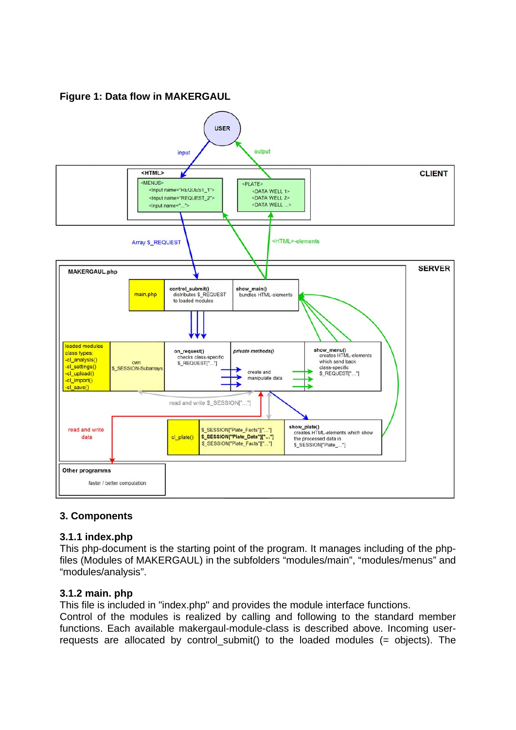**Figure 1: Data flow in MAKERGAUL** 



# **3. Components**

#### **3.1.1 index.php**

This php-document is the starting point of the program. It manages including of the phpfiles (Modules of MAKERGAUL) in the subfolders "modules/main", "modules/menus" and "modules/analysis".

# **3.1.2 main. php**

This file is included in "index.php" and provides the module interface functions.

Control of the modules is realized by calling and following to the standard member functions. Each available makergaul-module-class is described above. Incoming userrequests are allocated by control submit() to the loaded modules (= objects). The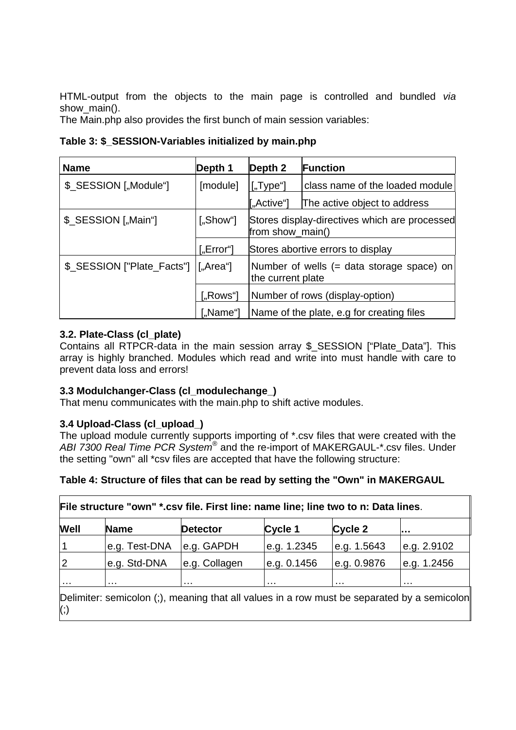HTML-output from the objects to the main page is controlled and bundled *via*  show main().

The Main.php also provides the first bunch of main session variables:

## **Table 3: \$\_SESSION-Variables initialized by main.php**

| <b>Name</b>                | Depth 1         | Depth 2                                                           | <b>Function</b>                           |
|----------------------------|-----------------|-------------------------------------------------------------------|-------------------------------------------|
| \$_SESSION ["Module"]      | [module]        | $[$ "Type"]                                                       | class name of the loaded module           |
|                            |                 | ["Active"]                                                        | The active object to address              |
| \$_SESSION ["Main"]        | ["Show"]        | Stores display-directives which are processed<br>from show_main() |                                           |
|                            | $[$ "Error" $]$ |                                                                   | Stores abortive errors to display         |
| \$_SESSION ["Plate_Facts"] | [.,Area'']      | Number of wells (= data storage space) on<br>the current plate    |                                           |
|                            | $[$ "Rows" $]$  | Number of rows (display-option)                                   |                                           |
|                            | $[$ "Name" $]$  |                                                                   | Name of the plate, e.g for creating files |

## **3.2. Plate-Class (cl\_plate)**

Contains all RTPCR-data in the main session array \$\_SESSION ["Plate\_Data"]. This array is highly branched. Modules which read and write into must handle with care to prevent data loss and errors!

#### **3.3 Modulchanger-Class (cl\_modulechange\_)**

That menu communicates with the main.php to shift active modules.

#### **3.4 Upload-Class (cl\_upload\_)**

The upload module currently supports importing of \*.csv files that were created with the *ABI 7300 Real Time PCR System*® and the re-import of MAKERGAUL-\*.csv files. Under the setting "own" all \*csv files are accepted that have the following structure:

#### **Table 4: Structure of files that can be read by setting the "Own" in MAKERGAUL**

| e.g. GAPDH<br>e.g. Test-DNA<br>e.g. 1.2345<br>e.g. 1.5643                      |             |
|--------------------------------------------------------------------------------|-------------|
|                                                                                | e.g. 2.9102 |
| e.g. Std-DNA<br>e.g. Collagen<br>le.g. 0.9876<br>e.g. 0.1456<br>$\overline{2}$ | e.g. 1.2456 |

Delimiter: semicolon (;), meaning that all values in a row must be separated by a semicolon (;)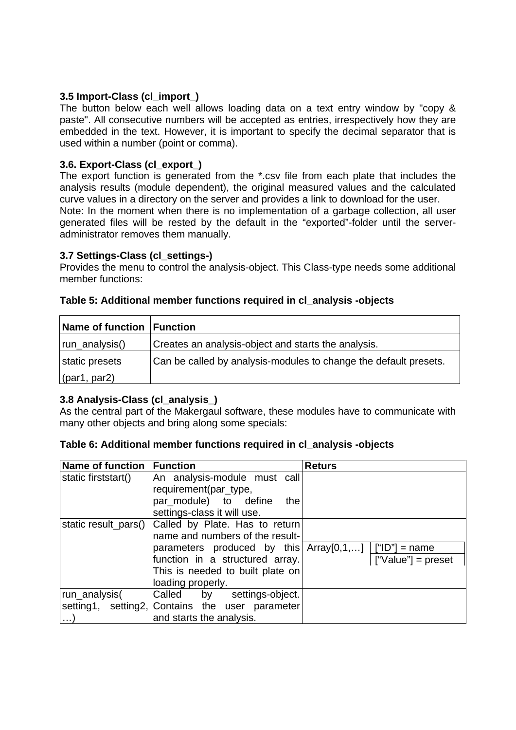### **3.5 Import-Class (cl\_import\_)**

The button below each well allows loading data on a text entry window by "copy & paste". All consecutive numbers will be accepted as entries, irrespectively how they are embedded in the text. However, it is important to specify the decimal separator that is used within a number (point or comma).

### **3.6. Export-Class (cl\_export\_)**

The export function is generated from the \*.csv file from each plate that includes the analysis results (module dependent), the original measured values and the calculated curve values in a directory on the server and provides a link to download for the user. Note: In the moment when there is no implementation of a garbage collection, all user generated files will be rested by the default in the "exported"-folder until the serveradministrator removes them manually.

#### **3.7 Settings-Class (cl\_settings-)**

Provides the menu to control the analysis-object. This Class-type needs some additional member functions:

| Name of function Function |                                                                  |
|---------------------------|------------------------------------------------------------------|
| run_analysis()            | Creates an analysis-object and starts the analysis.              |
| static presets            | Can be called by analysis-modules to change the default presets. |
| $\vert$ (par1, par2)      |                                                                  |

#### **Table 5: Additional member functions required in cl\_analysis -objects**

# **3.8 Analysis-Class (cl\_analysis\_)**

As the central part of the Makergaul software, these modules have to communicate with many other objects and bring along some specials:

| Table 6: Additional member functions required in cl_analysis -objects |  |  |  |
|-----------------------------------------------------------------------|--|--|--|
|-----------------------------------------------------------------------|--|--|--|

| Name of function     | <b>Function</b>                                                                   | <b>Returs</b>        |
|----------------------|-----------------------------------------------------------------------------------|----------------------|
| static firststart()  | An analysis-module must call                                                      |                      |
|                      | requirement(par_type,                                                             |                      |
|                      | par_module) to define<br>the                                                      |                      |
|                      | settings-class it will use.                                                       |                      |
| static result_pars() | Called by Plate. Has to return                                                    |                      |
|                      | name and numbers of the result-                                                   |                      |
|                      | parameters produced by this $\text{Array}[0,1,] \mid \text{["ID"]} = \text{name}$ |                      |
|                      | function in a structured array.                                                   | $['Value']$ = preset |
|                      | This is needed to built plate on                                                  |                      |
|                      | loading properly.                                                                 |                      |
| run_analysis(        | Called by settings-object.                                                        |                      |
|                      | setting1, setting2, Contains the user parameter                                   |                      |
| . )                  | and starts the analysis.                                                          |                      |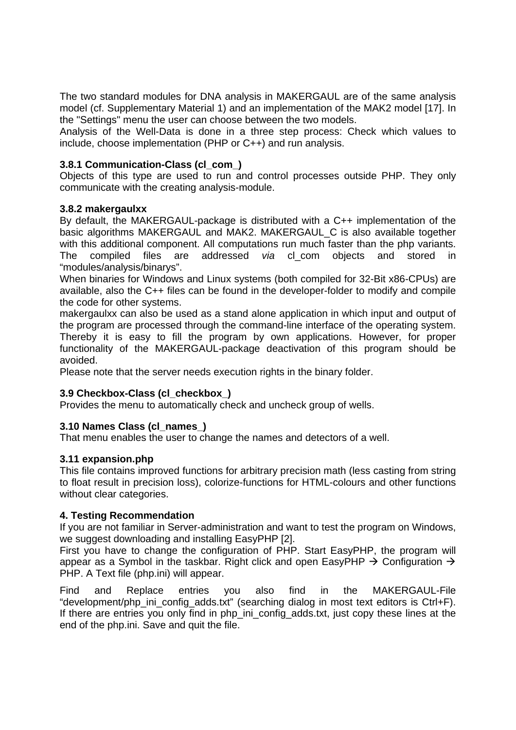The two standard modules for DNA analysis in MAKERGAUL are of the same analysis model (cf. Supplementary Material 1) and an implementation of the MAK2 model [17]. In the "Settings" menu the user can choose between the two models.

Analysis of the Well-Data is done in a three step process: Check which values to include, choose implementation (PHP or C++) and run analysis.

#### **3.8.1 Communication-Class (cl\_com\_)**

Objects of this type are used to run and control processes outside PHP. They only communicate with the creating analysis-module.

#### **3.8.2 makergaulxx**

By default, the MAKERGAUL-package is distributed with a C++ implementation of the basic algorithms MAKERGAUL and MAK2. MAKERGAUL\_C is also available together with this additional component. All computations run much faster than the php variants. The compiled files are addressed *via* cl\_com objects and stored in "modules/analysis/binarys".

When binaries for Windows and Linux systems (both compiled for 32-Bit x86-CPUs) are available, also the C++ files can be found in the developer-folder to modify and compile the code for other systems.

makergaulxx can also be used as a stand alone application in which input and output of the program are processed through the command-line interface of the operating system. Thereby it is easy to fill the program by own applications. However, for proper functionality of the MAKERGAUL-package deactivation of this program should be avoided.

Please note that the server needs execution rights in the binary folder.

#### **3.9 Checkbox-Class (cl\_checkbox\_)**

Provides the menu to automatically check and uncheck group of wells.

#### **3.10 Names Class (cl\_names\_)**

That menu enables the user to change the names and detectors of a well.

#### **3.11 expansion.php**

This file contains improved functions for arbitrary precision math (less casting from string to float result in precision loss), colorize-functions for HTML-colours and other functions without clear categories.

#### **4. Testing Recommendation**

If you are not familiar in Server-administration and want to test the program on Windows, we suggest downloading and installing EasyPHP [2].

First you have to change the configuration of PHP. Start EasyPHP, the program will appear as a Symbol in the taskbar. Right click and open EasyPHP  $\rightarrow$  Configuration  $\rightarrow$ PHP. A Text file (php.ini) will appear.

Find and Replace entries you also find in the MAKERGAUL-File "development/php\_ini\_config\_adds.txt" (searching dialog in most text editors is Ctrl+F). If there are entries you only find in php\_ini\_config\_adds.txt, just copy these lines at the end of the php.ini. Save and quit the file.